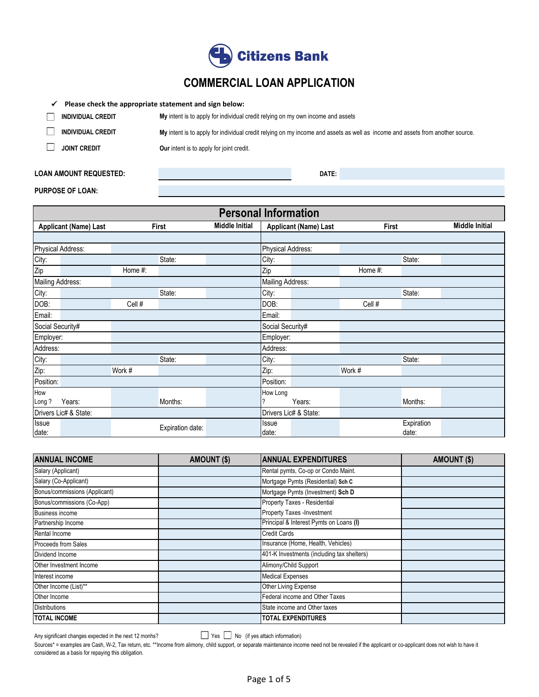

# **COMMERCIAL LOAN APPLICATION**

#### ✓ **Please check the appropriate statement and sign below:**

| <b>INDIVIDUAL CREDIT</b> | My intent is to apply for individual credit relying on my own income and assets                                               |
|--------------------------|-------------------------------------------------------------------------------------------------------------------------------|
| <b>INDIVIDUAL CREDIT</b> | My intent is to apply for individual credit relying on my income and assets as well as income and assets from another source. |
| <b>JOINT CREDIT</b>      | <b>Our</b> intent is to apply for joint credit.                                                                               |

### **LOAN AMOUNT REQUESTED:**

**DATE:** 

#### **PURPOSE OF LOAN:**

| <b>Personal Information</b>  |         |                  |                       |                   |                       |         |            |                       |
|------------------------------|---------|------------------|-----------------------|-------------------|-----------------------|---------|------------|-----------------------|
| <b>Applicant (Name) Last</b> |         | First            | <b>Middle Initial</b> |                   | Applicant (Name) Last | First   |            | <b>Middle Initial</b> |
|                              |         |                  |                       |                   |                       |         |            |                       |
| Physical Address:            |         |                  |                       | Physical Address: |                       |         |            |                       |
| City:                        |         | State:           |                       | City:             |                       |         | State:     |                       |
| Zip                          | Home #: |                  |                       | Zip               |                       | Home #: |            |                       |
| Mailing Address:             |         |                  |                       | Mailing Address:  |                       |         |            |                       |
| City:                        |         | State:           |                       | City:             |                       |         | State:     |                       |
| DOB:                         | Cell #  |                  |                       | DOB:              |                       | Cell #  |            |                       |
| Email:                       |         |                  |                       | Email:            |                       |         |            |                       |
| Social Security#             |         |                  |                       | Social Security#  |                       |         |            |                       |
| Employer:                    |         |                  |                       | Employer:         |                       |         |            |                       |
| Address:                     |         |                  |                       | Address:          |                       |         |            |                       |
| City:                        |         | State:           |                       | City:             |                       |         | State:     |                       |
| Zip:                         | Work #  |                  |                       | Zip:              |                       | Work #  |            |                       |
| Position:                    |         |                  |                       | Position:         |                       |         |            |                       |
| How                          |         |                  |                       | How Long          |                       |         |            |                       |
| Years:<br>Long?              |         | Months:          |                       |                   | Years:                |         | Months:    |                       |
| Drivers Lic# & State:        |         |                  |                       |                   | Drivers Lic# & State: |         |            |                       |
| <b>Issue</b>                 |         | Expiration date: |                       | Issue             |                       |         | Expiration |                       |
| date:                        |         |                  |                       | date:             |                       |         | date:      |                       |

| <b>ANNUAL INCOME</b>          | AMOUNT (\$) | <b>ANNUAL EXPENDITURES</b>                 | AMOUNT (\$) |
|-------------------------------|-------------|--------------------------------------------|-------------|
| Salary (Applicant)            |             | Rental pymts, Co-op or Condo Maint.        |             |
| Salary (Co-Applicant)         |             | Mortgage Pymts (Residential) Sch C         |             |
| Bonus/commissions (Applicant) |             | Mortgage Pymts (Investment) Sch D          |             |
| Bonus/commissions (Co-App)    |             | Property Taxes - Residential               |             |
| <b>Business income</b>        |             | Property Taxes - Investment                |             |
| Partnership Income            |             | Principal & Interest Pymts on Loans (I)    |             |
| Rental Income                 |             | <b>Credit Cards</b>                        |             |
| <b>Proceeds from Sales</b>    |             | Insurance (Home, Health, Vehicles)         |             |
| Dividend Income               |             | 401-K Investments (including tax shelters) |             |
| Other Investment Income       |             | Alimony/Child Support                      |             |
| Interest income               |             | <b>Medical Expenses</b>                    |             |
| Other Income (List)**         |             | Other Living Expense                       |             |
| Other Income                  |             | Federal income and Other Taxes             |             |
| <b>Distributions</b>          |             | State income and Other taxes               |             |
| <b>TOTAL INCOME</b>           |             | <b>TOTAL EXPENDITURES</b>                  |             |

Any significant changes expected in the next 12 monhs?

Yes No (if yes attach information)

Sources\* = examples are Cash, W-2, Tax return, etc. \*\*Income from alimony, child support, or separate maintenance income need not be revealed if the applicant or co-applicant does not wish to have it considered as a basis for repaying this obligation.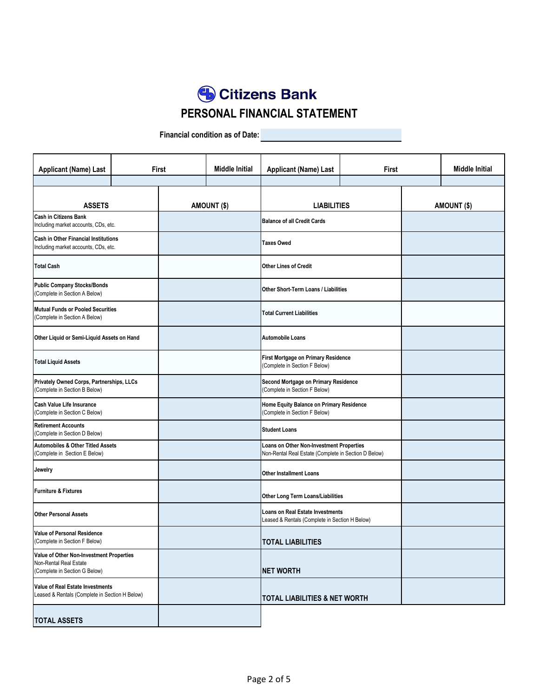**Citizens Bank PERSONAL FINANCIAL STATEMENT**

**Financial condition as of Date:**

| <b>Applicant (Name) Last</b>                                                                        |                                                                                    | First            | <b>Middle Initial</b> | <b>Applicant (Name) Last</b>                                                                            |  | First       |  |
|-----------------------------------------------------------------------------------------------------|------------------------------------------------------------------------------------|------------------|-----------------------|---------------------------------------------------------------------------------------------------------|--|-------------|--|
| <b>ASSETS</b>                                                                                       |                                                                                    |                  | AMOUNT (\$)           | <b>LIABILITIES</b>                                                                                      |  | AMOUNT (\$) |  |
| <b>Cash in Citizens Bank</b><br>Including market accounts, CDs, etc.                                |                                                                                    |                  |                       | <b>Balance of all Credit Cards</b>                                                                      |  |             |  |
| <b>Cash in Other Financial Institutions</b><br>Including market accounts, CDs, etc.                 |                                                                                    |                  |                       | <b>Taxes Owed</b>                                                                                       |  |             |  |
| <b>Total Cash</b>                                                                                   |                                                                                    |                  |                       | Other Lines of Credit                                                                                   |  |             |  |
| <b>Public Company Stocks/Bonds</b><br>(Complete in Section A Below)                                 |                                                                                    |                  |                       | Other Short-Term Loans / Liabilities                                                                    |  |             |  |
| Mutual Funds or Pooled Securities<br>(Complete in Section A Below)                                  |                                                                                    |                  |                       | <b>Total Current Liabilities</b>                                                                        |  |             |  |
| Other Liquid or Semi-Liquid Assets on Hand                                                          |                                                                                    |                  |                       | <b>Automobile Loans</b>                                                                                 |  |             |  |
| <b>Total Liquid Assets</b>                                                                          |                                                                                    |                  |                       | First Mortgage on Primary Residence<br>(Complete in Section F Below)                                    |  |             |  |
| Privately Owned Corps, Partnerships, LLCs<br>(Complete in Section B Below)                          |                                                                                    |                  |                       | Second Mortgage on Primary Residence<br>(Complete in Section F Below)                                   |  |             |  |
| <b>Cash Value Life Insurance</b><br>(Complete in Section C Below)                                   |                                                                                    |                  |                       | Home Equity Balance on Primary Residence<br>(Complete in Section F Below)                               |  |             |  |
| <b>Retirement Accounts</b><br>(Complete in Section D Below)                                         |                                                                                    |                  |                       | <b>Student Loans</b>                                                                                    |  |             |  |
| <b>Automobiles &amp; Other Titled Assets</b><br>(Complete in Section E Below)                       |                                                                                    |                  |                       | <b>Loans on Other Non-Investment Properties</b><br>Non-Rental Real Estate (Complete in Section D Below) |  |             |  |
| Jewelry                                                                                             |                                                                                    |                  |                       | <b>Other Installment Loans</b>                                                                          |  |             |  |
| <b>Furniture &amp; Fixtures</b>                                                                     |                                                                                    |                  |                       | Other Long Term Loans/Liabilities                                                                       |  |             |  |
| <b>Other Personal Assets</b>                                                                        | Loans on Real Estate Investments<br>Leased & Rentals (Complete in Section H Below) |                  |                       |                                                                                                         |  |             |  |
| <b>Value of Personal Residence</b><br>(Complete in Section F Below)                                 |                                                                                    |                  |                       | <b>TOTAL LIABILITIES</b>                                                                                |  |             |  |
| Value of Other Non-Investment Properties<br>Non-Rental Real Estate<br>(Complete in Section G Below) |                                                                                    | <b>NET WORTH</b> |                       |                                                                                                         |  |             |  |
| Value of Real Estate Investments<br>Leased & Rentals (Complete in Section H Below)                  |                                                                                    |                  |                       | <b>TOTAL LIABILITIES &amp; NET WORTH</b>                                                                |  |             |  |
| <b>TOTAL ASSETS</b>                                                                                 |                                                                                    |                  |                       |                                                                                                         |  |             |  |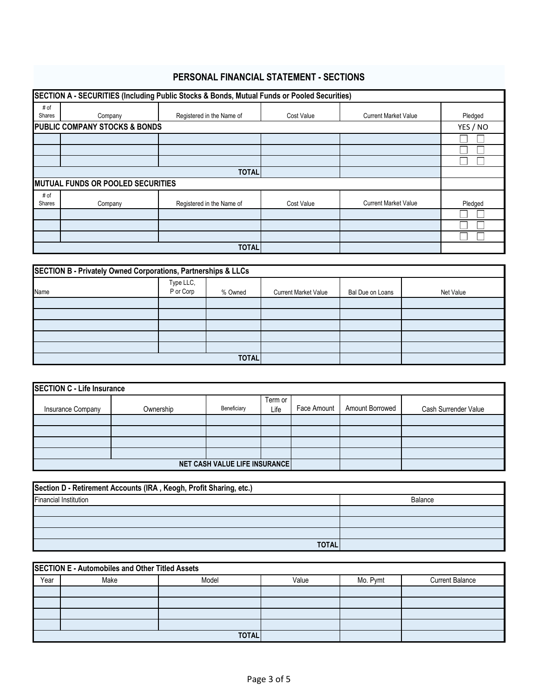## **PERSONAL FINANCIAL STATEMENT - SECTIONS**

|                | SECTION A - SECURITIES (Including Public Stocks & Bonds, Mutual Funds or Pooled Securities) |                           |            |                             |         |  |  |  |  |  |
|----------------|---------------------------------------------------------------------------------------------|---------------------------|------------|-----------------------------|---------|--|--|--|--|--|
| # of<br>Shares | Company                                                                                     | Registered in the Name of | Cost Value | <b>Current Market Value</b> | Pledged |  |  |  |  |  |
|                | <b>PUBLIC COMPANY STOCKS &amp; BONDS</b>                                                    |                           |            |                             |         |  |  |  |  |  |
|                |                                                                                             |                           |            |                             |         |  |  |  |  |  |
|                |                                                                                             |                           |            |                             |         |  |  |  |  |  |
|                |                                                                                             |                           |            |                             |         |  |  |  |  |  |
| <b>TOTAL</b>   |                                                                                             |                           |            |                             |         |  |  |  |  |  |
|                | <b>MUTUAL FUNDS OR POOLED SECURITIES</b>                                                    |                           |            |                             |         |  |  |  |  |  |
| # of<br>Shares | Company                                                                                     | Registered in the Name of | Cost Value | <b>Current Market Value</b> | Pledged |  |  |  |  |  |
|                |                                                                                             |                           |            |                             |         |  |  |  |  |  |
|                |                                                                                             |                           |            |                             |         |  |  |  |  |  |
|                |                                                                                             |                           |            |                             |         |  |  |  |  |  |
|                | <b>TOTAL</b>                                                                                |                           |            |                             |         |  |  |  |  |  |

| SECTION B - Privately Owned Corporations, Partnerships & LLCs |                        |         |                             |                  |           |  |  |  |
|---------------------------------------------------------------|------------------------|---------|-----------------------------|------------------|-----------|--|--|--|
| Name                                                          | Type LLC,<br>P or Corp | % Owned | <b>Current Market Value</b> | Bal Due on Loans | Net Value |  |  |  |
|                                                               |                        |         |                             |                  |           |  |  |  |
|                                                               |                        |         |                             |                  |           |  |  |  |
|                                                               |                        |         |                             |                  |           |  |  |  |
|                                                               |                        |         |                             |                  |           |  |  |  |
|                                                               |                        |         |                             |                  |           |  |  |  |
|                                                               | <b>TOTAL</b>           |         |                             |                  |           |  |  |  |

| <b>SECTION C - Life Insurance</b> |                                      |             |                 |             |                        |                      |  |  |
|-----------------------------------|--------------------------------------|-------------|-----------------|-------------|------------------------|----------------------|--|--|
| Insurance Company                 | Ownership                            | Beneficiary | Term or<br>Life | Face Amount | <b>Amount Borrowed</b> | Cash Surrender Value |  |  |
|                                   |                                      |             |                 |             |                        |                      |  |  |
|                                   |                                      |             |                 |             |                        |                      |  |  |
|                                   |                                      |             |                 |             |                        |                      |  |  |
|                                   |                                      |             |                 |             |                        |                      |  |  |
|                                   | <b>NET CASH VALUE LIFE INSURANCE</b> |             |                 |             |                        |                      |  |  |

| Section D - Retirement Accounts (IRA, Keogh, Profit Sharing, etc.) |         |  |  |  |  |  |
|--------------------------------------------------------------------|---------|--|--|--|--|--|
| <b>Financial Institution</b>                                       | Balance |  |  |  |  |  |
|                                                                    |         |  |  |  |  |  |
|                                                                    |         |  |  |  |  |  |
|                                                                    |         |  |  |  |  |  |
| <b>TOTAL</b>                                                       |         |  |  |  |  |  |

| <b>SECTION E - Automobiles and Other Titled Assets</b> |      |              |       |          |                        |  |  |  |  |
|--------------------------------------------------------|------|--------------|-------|----------|------------------------|--|--|--|--|
| Year                                                   | Make | Model        | Value | Mo. Pymt | <b>Current Balance</b> |  |  |  |  |
|                                                        |      |              |       |          |                        |  |  |  |  |
|                                                        |      |              |       |          |                        |  |  |  |  |
|                                                        |      |              |       |          |                        |  |  |  |  |
|                                                        |      |              |       |          |                        |  |  |  |  |
|                                                        |      | <b>TOTAL</b> |       |          |                        |  |  |  |  |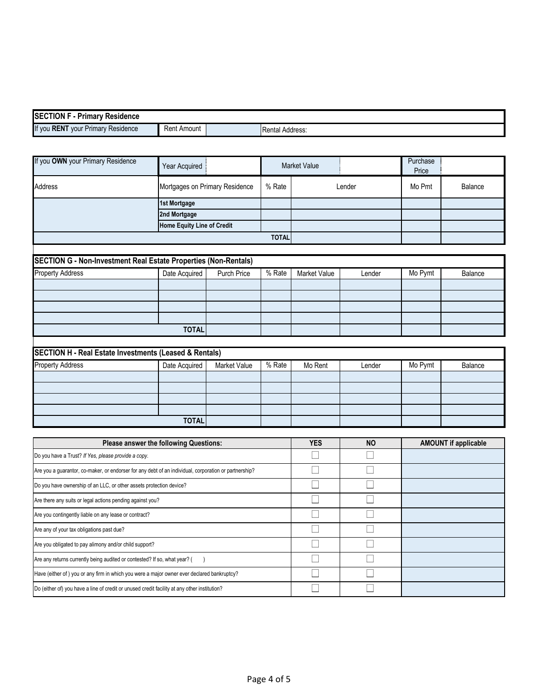| <b>SEC</b><br>$\sim$ rion F $\cdot$ $\sim$<br><b>Primary Residence</b> |                 |                        |
|------------------------------------------------------------------------|-----------------|------------------------|
| $\sim$<br>If you RENT<br>-<br>vour Primary Residence                   | Rent,<br>Amount | <b>Rental Address:</b> |

| If you OWN your Primary Residence                                                                     | Year Acquired                          |                                |              | <b>Market Value</b> |              | Purchase<br>Price |                             |
|-------------------------------------------------------------------------------------------------------|----------------------------------------|--------------------------------|--------------|---------------------|--------------|-------------------|-----------------------------|
| <b>Address</b>                                                                                        |                                        | Mortgages on Primary Residence | % Rate       |                     | Lender       | Mo Pmt            | Balance                     |
|                                                                                                       | 1st Mortgage                           |                                |              |                     |              |                   |                             |
|                                                                                                       | 2nd Mortgage                           |                                |              |                     |              |                   |                             |
|                                                                                                       | Home Equity Line of Credit             |                                |              |                     |              |                   |                             |
|                                                                                                       |                                        |                                | <b>TOTAL</b> |                     |              |                   |                             |
|                                                                                                       |                                        |                                |              |                     |              |                   |                             |
| SECTION G - Non-Investment Real Estate Properties (Non-Rentals)                                       |                                        |                                |              |                     |              |                   |                             |
| <b>Property Address</b>                                                                               | Date Acquired                          | Purch Price                    | % Rate       | Market Value        | Lender       | Mo Pymt           | Balance                     |
|                                                                                                       |                                        |                                |              |                     |              |                   |                             |
|                                                                                                       |                                        |                                |              |                     |              |                   |                             |
|                                                                                                       |                                        |                                |              |                     |              |                   |                             |
|                                                                                                       | <b>TOTAL</b>                           |                                |              |                     |              |                   |                             |
|                                                                                                       |                                        |                                |              |                     |              |                   |                             |
| <b>SECTION H - Real Estate Investments (Leased &amp; Rentals)</b>                                     |                                        |                                |              |                     |              |                   |                             |
| <b>Property Address</b>                                                                               | Date Acquired                          | Market Value                   | % Rate       | Mo Rent             | Lender       | Mo Pymt           | Balance                     |
|                                                                                                       |                                        |                                |              |                     |              |                   |                             |
|                                                                                                       |                                        |                                |              |                     |              |                   |                             |
|                                                                                                       |                                        |                                |              |                     |              |                   |                             |
|                                                                                                       |                                        |                                |              |                     |              |                   |                             |
|                                                                                                       | <b>TOTAL</b>                           |                                |              |                     |              |                   |                             |
|                                                                                                       | Please answer the following Questions: |                                |              | <b>YES</b>          | <b>NO</b>    |                   | <b>AMOUNT if applicable</b> |
| Do you have a Trust? If Yes, please provide a copy.                                                   |                                        |                                |              |                     |              |                   |                             |
| Are you a guarantor, co-maker, or endorser for any debt of an individual, corporation or partnership? |                                        |                                |              | ſΙ                  | П            |                   |                             |
| Do you have ownership of an LLC, or other assets protection device?                                   |                                        |                                |              | $\mathbf{I}$        | $\mathbf{I}$ |                   |                             |
| Are there any suits or legal actions pending against you?                                             |                                        |                                |              | Г                   | $\Box$       |                   |                             |
| Are you contingently liable on any lease or contract?                                                 |                                        |                                |              |                     | $\Box$       |                   |                             |
| Are any of your tax obligations past due?                                                             |                                        |                                |              |                     | $\Box$       |                   |                             |
| Are you obligated to pay alimony and/or child support?                                                |                                        |                                |              | $\Box$              | П            |                   |                             |
| Are any returns currently being audited or contested? If so, what year? (                             | $\lambda$                              |                                |              |                     |              |                   |                             |
| Have (either of ) you or any firm in which you were a major owner ever declared bankruptcy?           |                                        |                                |              |                     | $\Box$       |                   |                             |

 $\overline{\Box}$ 

 $\overline{\Box}$ 

Do (either of) you have a line of credit or unused credit facility at any other institution?